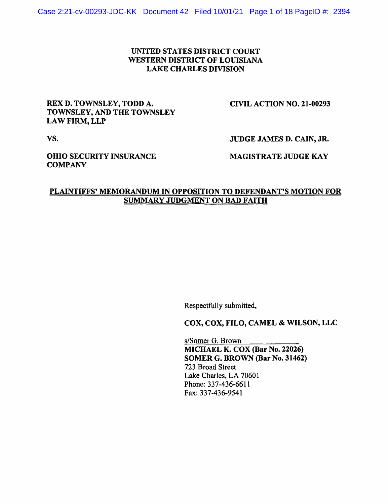## UNITED STATES DISTRICT COURT WESTERN DISTRICT OF LOUISIANA LAKE CHARLES DIVISION

## REX D. TOWNSLEY, TODD A. TOWNSLEY, AND THE TOWNSLEY LAW FIRM, LLP

CIVIL ACTION NO. 21-00293

vs.

JUDGE JAMES D. CAIN, JR.

OHIO SECURITY INSURANCE **COMPANY** 

MAGISTRATE JUDGE KAY

## PLAINTIFFS' MEMORANDUM IN OPPOSITION TO DEFENDANT'S MOTION FOR SUMMARY JUDGMENT ON BAD FAITH

Respectfully submitted,

COX, COX, FILO, CAMEL & WILSON, LLC

s/Somer G. Brown MICHAEL K. COX (Bar No. 22026) SOMER G. BROWN (Bar No. 31462) 723 Broad Street Lake Charles, LA 70601 Phone: 337-436-6611 Fax: 337-436-9541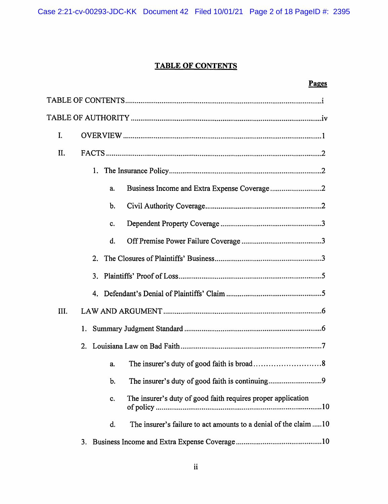# **TABLE OF CONTENTS**

## Pages

| I.             |                                                                        |
|----------------|------------------------------------------------------------------------|
| II.            |                                                                        |
| 1.             |                                                                        |
|                | a.                                                                     |
|                | b.                                                                     |
|                | c.                                                                     |
|                | d.                                                                     |
| 2 <sub>1</sub> |                                                                        |
| 3 <sub>1</sub> |                                                                        |
|                |                                                                        |
| III.           |                                                                        |
|                |                                                                        |
|                |                                                                        |
|                | a.                                                                     |
|                | b.                                                                     |
|                | The insurer's duty of good faith requires proper application<br>c.     |
|                | The insurer's failure to act amounts to a denial of the claim 10<br>d. |
|                |                                                                        |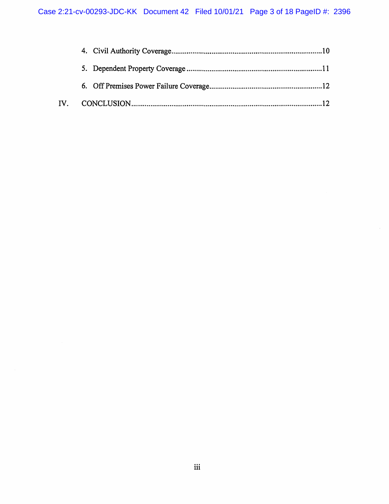$\hat{\mathcal{A}}$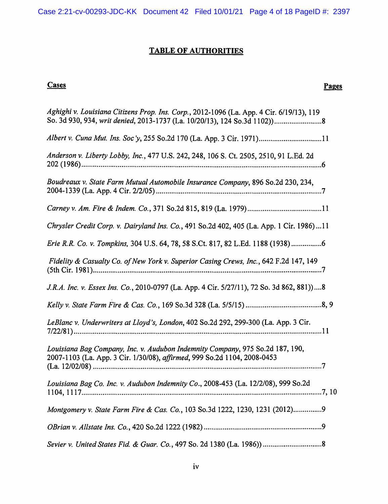# TABLE OF AUTHORITIES

# Cases

# Pages

| Aghighi v. Louisiana Citizens Prop. Ins. Corp., 2012-1096 (La. App. 4 Cir. 6/19/13), 119                                                                  |
|-----------------------------------------------------------------------------------------------------------------------------------------------------------|
| Albert v. Cuna Mut. Ins. Soc'y, 255 So.2d 170 (La. App. 3 Cir. 1971)11                                                                                    |
| Anderson v. Liberty Lobby, Inc., 477 U.S. 242, 248, 106 S. Ct. 2505, 2510, 91 L.Ed. 2d                                                                    |
| Boudreaux v. State Farm Mutual Automobile Insurance Company, 896 So.2d 230, 234,                                                                          |
|                                                                                                                                                           |
| Chrysler Credit Corp. v. Dairyland Ins. Co., 491 So.2d 402, 405 (La. App. 1 Cir. 1986) 11                                                                 |
| Erie R.R. Co. v. Tompkins, 304 U.S. 64, 78, 58 S.Ct. 817, 82 L.Ed. 1188 (1938) 6                                                                          |
| Fidelity & Casualty Co. of New York v. Superior Casing Crews, Inc., 642 F.2d 147, 149                                                                     |
| J.R.A. Inc. v. Essex Ins. Co., 2010-0797 (La. App. 4 Cir. 5/27/11), 72 So. 3d 862, 881))8                                                                 |
|                                                                                                                                                           |
| LeBlanc v. Underwriters at Lloyd's, London, 402 So.2d 292, 299-300 (La. App. 3 Cir.                                                                       |
| Louisiana Bag Company, Inc. v. Audubon Indemnity Company, 975 So.2d 187, 190,<br>2007-1103 (La. App. 3 Cir. 1/30/08), affirmed, 999 So.2d 1104, 2008-0453 |
| Louisiana Bag Co. Inc. v. Audubon Indemnity Co., 2008-453 (La. 12/2/08), 999 So.2d<br>1104, 1117                                                          |
| Montgomery v. State Farm Fire & Cas. Co., 103 So.3d 1222, 1230, 1231 (2012)9                                                                              |
|                                                                                                                                                           |
|                                                                                                                                                           |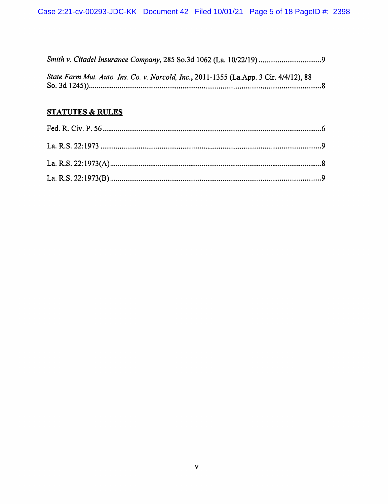| State Farm Mut. Auto. Ins. Co. v. Norcold, Inc., 2011-1355 (La.App. 3 Cir. 4/4/12), 88 |  |
|----------------------------------------------------------------------------------------|--|

# **STATUTES & RULES**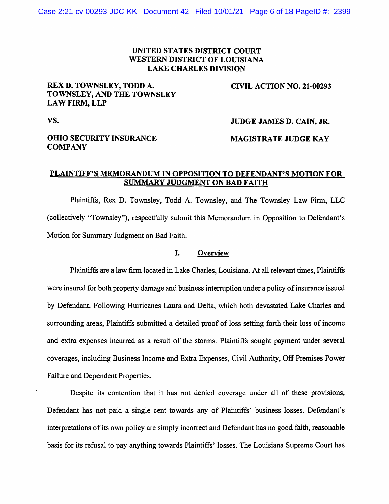## UNITED STATES DISTRICT COURT WESTERN DISTRICT OF LOUISIANA LAKE CHARLES DIVISION

## REX D. TOWNSLEY, TODD A. TOWNSLEY, AND THE TOWNSLEY LAW FIRM, LLP

CIVIL ACTION NO. 21-00293

vs.

#### JUDGE JAMES D. CAIN, JR.

## OHIO SECURITY INSURANCE **COMPANY**

## MAGISTRATE JUDGE KAY

## PLAINTIFF'S MEMORANDUM IN OPPOSITION TO DEFENDANT'S MOTION FOR SUMMARY JUDGMENT ON BAD FAITH

Plaintiffs, Rex D. Townsley, Todd A. Townsley, and The Townsley Law Firm, LLC (collectively "Townsley"), respectfully submit this Memorandum in Opposition to Defendant's Motion for Summary Judgment on Bad Faith.

#### I. Overview

Plaintiffs are a law finn located in Lake Charles, Louisiana. At all relevant times, Plaintiffs were insured for both property damage and business interruption under a policy of insurance issued by Defendant. Following Hurricanes Laura and Delta, which both devastated Lake Charles and surrounding areas, Plaintiffs submitted a detailed proof of loss setting forth their loss of income and extra expenses incurred as a result of the storms. Plaintiffs sought payment under several coverages, including Business Income and Extra Expenses, Civil Authority, Off Premises Power Failure and Dependent Properties.

Despite its contention that it has not denied coverage under all of these provisions, Defendant has not paid a single cent towards any of Plaintiffs' business losses. Defendant's interpretations of its own policy are simply incorrect and Defendant has no good faith, reasonable basis for its refusal to pay anything towards Plaintiffs' losses. The Louisiana Supreme Court has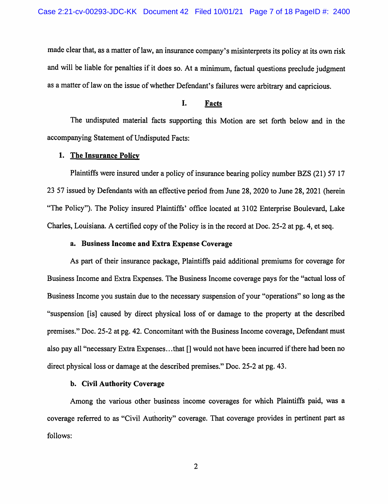made clear that, as a matter of law, an insurance company's misinterprets its policy at its own risk and will be liable for penalties if it does so. At a minimum, factual questions preclude judgment as a matter of law on the issue of whether Defendant's failures were arbitrary and capricious.

## I. Facts

The undisputed material facts supporting this Motion are set forth below and in the accompanying Statement of Undisputed Facts:

#### 1. The Insurance Policy

Plaintiffs were insured under a policy of insurance bearing policy number BZS (21) 57 17 23 57 issued by Defendants with an effective period from June 28, 2020 to June 28, 2021 (herein "The Policy"). The Policy insured Plaintiffs' office located at 3102 Enterprise Boulevard, Lake Charles, Louisiana. A certified copy of the Policy is in the record at Doc. 25-2 at pg. 4, et seq.

### a. Business Income and Extra Expense Coverage

As part of their insurance package, Plaintiffs paid additional premiums for coverage for Business Income and Extra Expenses. The Business Income coverage pays for the "actual loss of Business Income you sustain due to the necessary suspension of your "operations" so long as the "suspension [is] caused by direct physical loss of or damage to the property at the described premises." Doc. 25-2 at pg. 42. Concomitant with the Business Income coverage, Defendant must also pay all "necessary Extra Expenses...that [] would not have been incurred if there had been no direct physical loss or damage at the described premises." Doc. 25-2 at pg. 43.

#### b. Civil Authority Coverage

Among the various other business income coverages for which Plaintiffs paid, was a coverage referred to as "Civil Authority" coverage. That coverage provides in pertinent part as follows: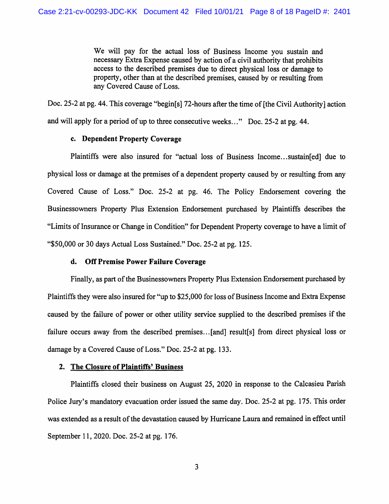We will pay for the actual loss of Business Income you sustain and necessary Extra Expense caused by action of a civil authority that prohibits access to the described premises due to direct physical loss or damage to property, other than at the described premises, caused by or resulting from any Covered Cause of Loss.

Doc. 25-2 at pg. 44. This coverage "begin[s] 72-hours after the time of [the Civil Authority] action and will apply for a period of up to three consecutive weeks ... " Doc. 25-2 at pg. 44.

### c. Dependent Property Coverage

Plaintiffs were also insured for "actual loss of Business Income...sustain[ed] due to physical loss or damage at the premises of a dependent property caused by or resulting from any Covered Cause of Loss." Doc. 25-2 at pg. 46. The Policy Endorsement covering the Businessowners Property Plus Extension Endorsement purchased by Plaintiffs describes the "Limits of Insurance or Change in Condition" for Dependent Property coverage to have a limit of "\$50,000 or 30 days Actual Loss Sustained." Doc. 25-2 at pg. 125.

## d. Off Premise Power Failure Coverage

Finally, as part of the Businessowners Property Plus Extension Endorsement purchased by Plaintiffs they were also insured for "up to \$25,000 for loss of Business Income and Extra Expense caused by the failure of power or other utility service supplied to the described premises if the failure occurs away from the described premises ... [and] result[s] from direct physical loss or damage by a Covered Cause of Loss." Doc. 25-2 at pg. 133.

## 2. The Closure of Plaintiffs' Business

Plaintiffs closed their business on August 25, 2020 in response to the Calcasieu Parish Police Jury's mandatory evacuation order issued the same day. Doc. 25-2 at pg. 175. This order was extended as a result of the devastation caused by Hurricane Laura and remained in effect until September 11, 2020. Doc. 25-2 at pg. 176.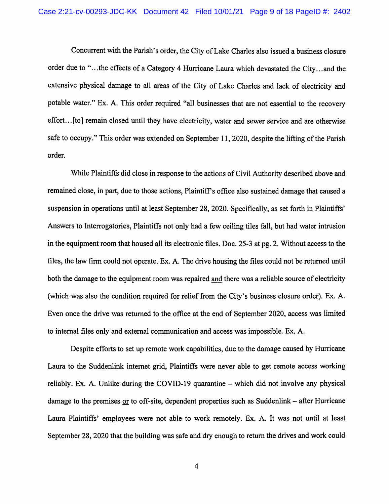Concurrent with the Parish's order, the City of Lake Charles also issued a business closure order due to "...the effects of a Category 4 Hurricane Laura which devastated the City...and the extensive physical damage to all areas of the City of Lake Charles and lack of electricity and potable water." Ex. A. This order required "all businesses that are not essential to the recovery effort... [to] remain closed until they have electricity, water and sewer service and are otherwise safe to occupy." This order was extended on September 11, 2020, despite the lifting of the Parish order.

While Plaintiffs did close in response to the actions of Civil Authority described above and remained close, in part, due to those actions, Plaintifr s office also sustained damage that caused a suspension in operations until at least September 28, 2020. Specifically, as set forth in Plaintiffs' Answers to Interrogatories, Plaintiffs not only had a few ceiling tiles fall, but had water intrusion in the equipment room that housed all its electronic files. Doc. 25-3 at pg. 2. Without access to the files, the law firm could not operate. Ex. A. The drive housing the files could not be returned until both the damage to the equipment room was repaired and there was a reliable source of electricity (which was also the condition required for relief from the City's business closure order). Ex. A. Even once the drive was returned to the office at the end of September 2020, access was limited to internal files only and external communication and access was impossible. Ex. A.

Despite efforts to set up remote work capabilities, due to the damage caused by Hurricane Laura to the Suddenlink internet grid, Plaintiffs were never able to get remote access working reliably. Ex. A. Unlike during the COVID-19 quarantine – which did not involve any physical damage to the premises or to off-site, dependent properties such as Suddenlink – after Hurricane Laura Plaintiffs' employees were not able to work remotely. Ex. A. It was not until at least September 28, 2020 that the building was safe and dry enough to return the drives and work could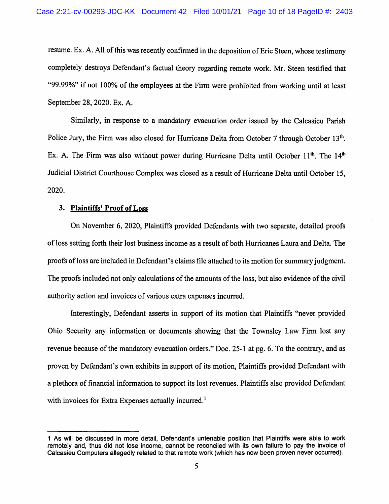resume. Ex. A. All of this was recently confirmed in the deposition of Eric Steen, whose testimony completely destroys Defendant's factual theory regarding remote work. Mr. Steen testified that "99.99%" if not 100% of the employees at the Firm were prohibited from working until at least September 28,2020. Ex. A.

Similarly, in response to a mandatory evacuation order issued by the Calcasieu Parish Police Jury, the Firm was also closed for Hurricane Delta from October 7 through October 13<sup>th</sup>. Ex. A. The Firm was also without power during Hurricane Delta until October 11<sup>th</sup>. The 14<sup>th</sup> Judicial District Courthouse Complex was closed as a result of Hurricane Delta until October 15, 2020.

#### 3. Plaintiffs' Proof of Loss

On November 6, 2020, Plaintiffs provided Defendants with two separate, detailed proofs of loss setting forth their lost business income as a result of both Hurricanes Laura and Delta. The proofs of loss are included in Defendant's claims file attached to its motion for summary judgment. The proofs included not only calculations of the amounts of the loss, but also evidence of the civil authority action and invoices of various extra expenses incurred.

Interestingly, Defendant asserts in support of its motion that Plaintiffs "never provided Ohio Security any information or documents showing that the Townsley Law Firm lost any revenue because of the mandatory evacuation orders." Doc. 25-1 at pg. 6. To the contrary, and as proven by Defendant's own exhibits in support of its motion, Plaintiffs provided Defendant with a plethora of financial information to support its lost revenues. Plaintiffs also provided Defendant with invoices for Extra Expenses actually incurred.<sup>1</sup>

<sup>1</sup> As will be discussed in more detail, Defendant's untenable position that Plaintiffs were able to work remotely and, thus did not lose income, cannot be reconciled with its own failure to pay the invoice of Calcasieu Computers allegedly related to that remote work (which has now been proven never occurred).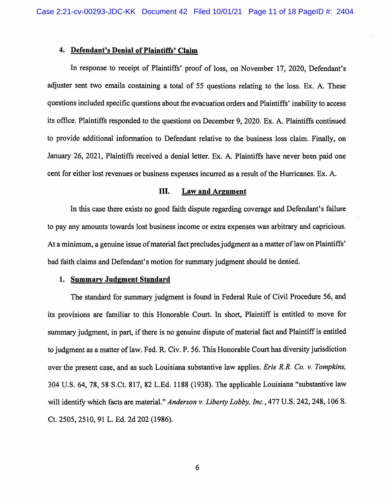## **4. Defendant's Denial of Plaintiffs' Claim**

In response to receipt of Plaintiffs' proof of loss, on November 17, 2020, Defendant's adjuster sent two emails containing a total of 55 questions relating to the loss. Ex. A. These questions included specific questions about the evacuation orders and Plaintiffs' inability to access its office. Plaintiffs responded to the questions on December 9, 2020. Ex. A. Plaintiffs continued to provide additional information to Defendant relative to the business loss claim. Finally, on January 26, 2021, Plaintiffs received a denial letter. Ex. A. Plaintiffs have never been paid one cent for either lost revenues or business expenses incurred as a result of the Hurricanes. Ex. A.

#### III. **Law and Argument**

In this case there exists no good faith dispute regarding coverage and Defendant's failure to pay any amounts towards lost business income or extra expenses was arbitrary and capricious. At a minimum, a genuine issue of material fact precludes judgment as a matter of law on Plaintiffs' bad faith claims and Defendant's motion for summary judgment should be denied.

#### **1. Summary Judgment Standard**

The standard for summary judgment is found in Federal Rule of Civil Procedure 56, and its provisions are familiar to this Honorable Court. In short, Plaintiff is entitled to move for summary judgment, in part, if there is no genuine dispute of material fact and Plaintiff is entitled to judgment as a matter of law. Fed. R. Civ. P. 56. This Honorable Court has diversity jurisdiction over the present case, and as such Louisiana substantive law applies. *Erie R.R. Co. v. Tompkins,*  304 U.S. 64, 78,58 S.Ct. 817,82 L.Ed. 1188 (1938). The applicable Louisiana "substantive law will identify which facts are material." *Anderson v. Liberty Lobby, Inc.,* 477 U.S. 242,248, 106 S. Ct. 2505,2510, 91 L. Ed. 2d 202 (1986).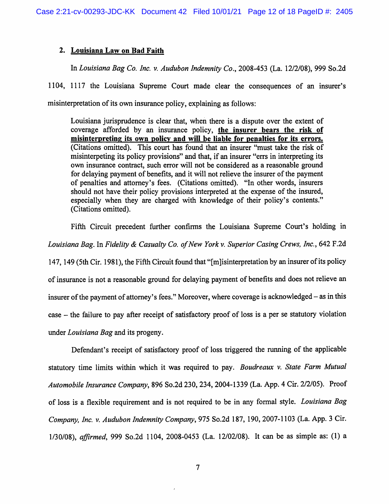## 2. Louisiana Law on Bad Faith

In *Louisiana Bag Co. Inc. v. Audubon Indemnity Co.,* 2008-453 (La. 12/2/08), 999 So.2d

1104, 1117 the Louisiana Supreme Court made clear the consequences of an insurer's misinterpretation of its own insurance policy, explaining as follows:

Louisiana jurisprudence is clear that, when there is a dispute over the extent of coverage afforded by an insurance policy, the insurer bears the risk of misinterpreting its own policy and will be liable for penalties for its errors. (Citations omitted). This court has found that an insurer "must take the risk of misinterpeting its policy provisions" and that, if an insurer "errs in interpreting its own insurance contract, such error will not be considered as a reasonable ground for delaying payment of benefits, and it will not relieve the insurer of the payment of penalties and attorney's fees. (Citations omitted). "In other words, insurers should not have their policy provisions interpreted at the expense of the insured, especially when they are charged with knowledge of their policy's contents." (Citations omitted).

Fifth Circuit precedent further confirms the Louisiana Supreme Court's holding in *Louisiana Bag.* In *Fidelity & Casualty Co. of New York v. Superior Casing Crews, Inc.,* 642 F.2d 147, 149 (5th Cir. 1981), the Fifth Circuit found that "[m]isinterpretation by an insurer of its policy of insurance is not a reasonable ground for delaying payment of benefits and does not relieve an insurer of the payment of attorney's fees." Moreover, where coverage is acknowledged- as in this case - the failure to pay after receipt of satisfactory proof of loss is a per se statutory violation under *Louisiana Bag* and its progeny.

Defendant's receipt of satisfactory proof of loss triggered the running of the applicable statutory time limits within which it was required to pay. *Boudreaux v. State Farm Mutual Automobile Insurance Company,* 896 So.2d 230, 234, 2004-1339 (La. App. 4 Cir. 2/2/05). Proof of loss is a flexible requirement and is not required to be in any formal style. *Louisiana Bag Company, Inc. v. Audubon Indemnity Company,* 975 So.2d 187, 190,2007-1103 (La. App. 3 Cir. 1130/08), *affirmed,* 999 So.2d 1104, 2008-0453 (La. 12/02/08). It can be as simple as: (1) a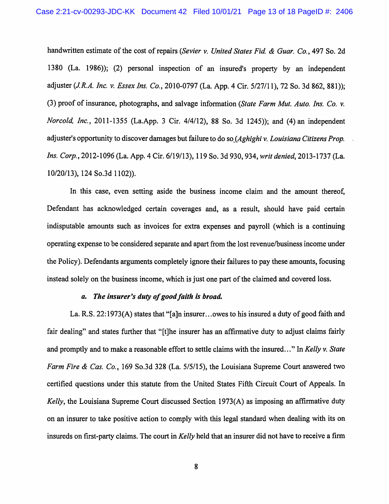handwritten estimate of the cost of repairs *(Sevier v. United States Fid. & Guar. Co.,* 497 So. 2d 1380 (La. 1986)); (2) personal inspection of an insured's property by an independent adjuster *(J.R.A. Inc.* v. *Essex Ins. Co.,* 2010-0797 (La. App. 4 Cir. 5/27/11), 72 So. 3d 862, 881)); (3) proof of insurance, photographs, and salvage information *(State Farm Mut. Auto. Ins. Co. v. Norcold, Inc.,* 2011-1355 (La.App. 3 Cir. 4/4/12), 88 So. 3d 1245)); and (4) an independent adjuster's opportunity to discover damages but failure to do *so\_(Aghighi* v. *Louisiana Citizens Prop. Ins. Corp.,* 2012-1096 (La. App. 4 Cir. 6/19/13), 119 So. 3d 930,934, *writ denied,* 2013-1737 (La. 10/20/13), 124 So.3d 1102)).

In this case, even setting aside the business income claim and the amount thereof, Defendant has acknowledged certain coverages and, as a result, should have paid certain indisputable amounts such as invoices for extra expenses and payroll (which is a continuing operating expense to be considered separate and apart from the lost revenue/business income under the Policy). Defendants arguments completely ignore their failures to pay these amounts, focusing instead solely on the business income, which is just one part of the claimed and covered loss.

#### *a. The insurer's duty ofgoodfaitll is broad.*

La. R.S. 22: 1973(A) states that "[a]n insurer ... owes to his insured a duty of good faith and fair dealing" and states further that "[t]he insurer has an affirmative duty to adjust claims fairly and promptly and to make a reasonable effort to settle claims with the insured ... " In *Kelly* v. *State Farm Fire & Cas. Co.,* 169 So.3d 328 (La. 5/5/15), the Louisiana Supreme Court answered two certified questions under this statute from the United States Fifth Circuit Court of Appeals. In *Kelly,* the Louisiana Supreme Court discussed Section 1973(A) as imposing an affirmative duty on an insurer to take positive action to comply with this legal standard when dealing with its on insureds on first-party claims. The court in *Kelly* held that an insurer did not have to receive a firm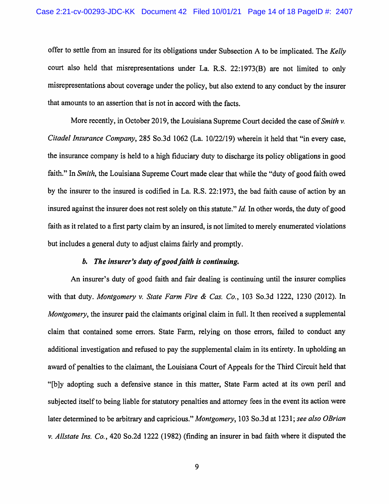offer to settle from an insured for its obligations under Subsection A to be implicated. The *Kelly*  court also held that misrepresentations under La. R.S. 22:1973(B) are not limited to only misrepresentations about coverage under the policy, but also extend to any conduct by the insurer that amounts to an assertion that is not in accord with the facts.

More recently, in October 2019, the Louisiana Supreme Court decided the case of *Smith v. Citadel Insurance Company,* 285 So .3d 1062 (La. 1 0/22/19) wherein it held that "in every case, the insurance company is held to a high fiduciary duty to discharge its policy obligations in good faith." In *Smith,* the Louisiana Supreme Court made clear that while the "duty of good faith owed by the insurer to the insured is codified in La. R.S. 22:1973, the bad faith cause of action by an insured against the insurer does not rest solely on this statute." *Id*. In other words, the duty of good faith as it related to a first party claim by an insured, is not limited to merely enumerated violations but includes a general duty to adjust claims fairly and promptly.

#### *b. The insurer's duty of good faith is continuing.*

An insurer's duty of good faith and fair dealing is continuing until the insurer complies with that duty. *Montgomery v. State Farm Fire* & *Cas. Co.,* 103 So.3d 1222, 1230 (2012). In *Montgomery*, the insurer paid the claimants original claim in full. It then received a supplemental claim that contained some errors. State Farm, relying on those errors, failed to conduct any additional investigation and refused to pay the supplemental claim in its entirety. In upholding an award of penalties to the claimant, the Louisiana Court of Appeals for the Third Circuit held that "[b ]y adopting such a defensive stance in this matter, State Farm acted at its own peril and subjected itself to being liable for statutory penalties and attorney fees in the event its action were later determined to be arbitrary and capricious." *Montgomery,* 103 So.3d at 1231; *see also OBrian v. Allstate Ins. Co.,* 420 So.2d 1222 (1982) (finding an insurer in bad faith where it disputed the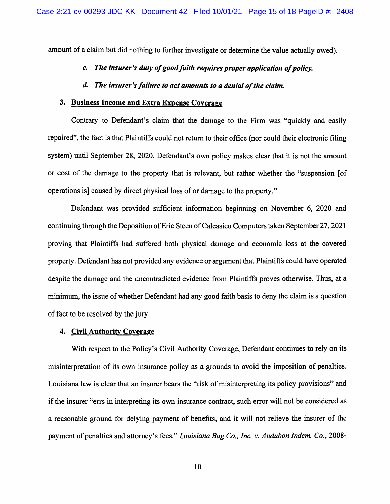amount of a claim but did nothing to further investigate or determine the value actually owed).

# *c.* The insurer's duty of good faith requires proper application of policy.

#### *d. The insurer'sfailure to act amounts to a denial of the claim.*

#### 3. Business Income and Extra Expense Coverage

Contrary to Defendant's claim that the damage to the Firm was "quickly and easily repaired", the fact is that Plaintiffs could not return to their office (nor could their electronic filing system) until September 28, 2020. Defendant's own policy makes clear that it is not the amount or cost of the damage to the property that is relevant, but rather whether the "suspension [of operations is] caused by direct physical loss of or damage to the property."

Defendant was provided sufficient information beginning on November 6, 2020 and continuing through the Deposition of Eric Steen of Calcasieu Computers taken September 27, 2021 proving that Plaintiffs had suffered both physical damage and economic loss at the covered property. Defendant has not provided any evidence or argument that Plaintiffs could have operated despite the damage and the uncontradicted evidence from Plaintiffs proves otherwise. Thus, at a minimum, the issue of whether Defendant had any good faith basis to deny the claim is a question of fact to be resolved by the jury.

#### 4. Civil Authority Coverage

With respect to the Policy's Civil Authority Coverage, Defendant continues to rely on its misinterpretation of its own insurance policy as a grounds to avoid the imposition of penalties. Louisiana law is clear that an insurer bears the "risk of misinterpreting its policy provisions" and if the insurer "errs in interpreting its own insurance contract, such error will not be considered as a reasonable ground for delying payment of benefits, and it will not relieve the insurer of the payment of penalties and attorney's fees." *Louisiana Bag Co., Inc.* v. *Audubon Indem. Co.,* 2008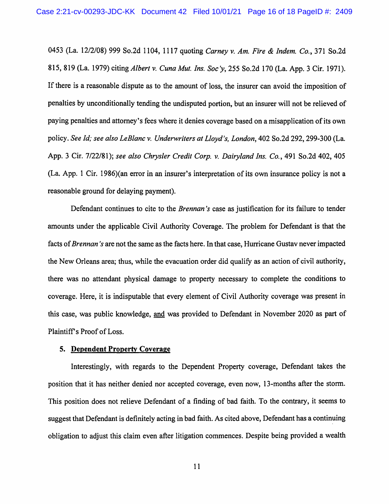0453 (La. 12/2/08) 999 So.2d 1104, 1117 quoting *Carney v. Am. Fire* & *Indem. Co.,* 371 So.2d 815, 819 (La. 1979) citing *Albert v. Cuna Mut. Ins. Soc y,* 255 So.2d 170 (La. App. 3 Cir. 1971 ). If there is a reasonable dispute as to the amount of loss, the insurer can avoid the imposition of penalties by unconditionally tending the undisputed portion, but an insurer will not be relieved of paying penalties and attorney's fees where it denies coverage based on a misapplication of its own policy. *See Id; see also LeBlanc v. Underwriters at Lloyd's, London,* 402 So.2d 292,299-300 (La. App. 3 Cir. 7/22/81); *see also Chrysler Credit Corp. v. Dairy/and Ins. Co.,* 491 So.2d 402, 405 (La. App. 1 Cir. 1986)(an error in an insurer's interpretation of its own insurance policy is not a reasonable ground for delaying payment).

Defendant continues to cite to the *Brennan's* case as justification for its failure to tender amounts under the applicable Civil Authority Coverage. The problem for Defendant is that the facts of *Brennan's* are not the same as the facts here. In that case, Hurricane Gustav never impacted the New Orleans area; thus, while the evacuation order did qualify as an action of civil authority, there was no attendant physical damage to property necessary to complete the conditions to coverage. Here, it is indisputable that every element of Civil Authority coverage was present in this case, was public knowledge, and was provided to Defendant in November 2020 as part of Plaintiff's Proof of Loss.

## 5. Dependent Property Coverage

Interestingly, with regards to the Dependent Property coverage, Defendant takes the position that it has neither denied nor accepted coverage, even now, 13-months after the storm. This position does not relieve Defendant of a finding of bad faith. To the contrary, it seems to suggest that Defendant is definitely acting in bad faith. As cited above, Defendant has a continuing obligation to adjust this claim even after litigation commences. Despite being provided a wealth

11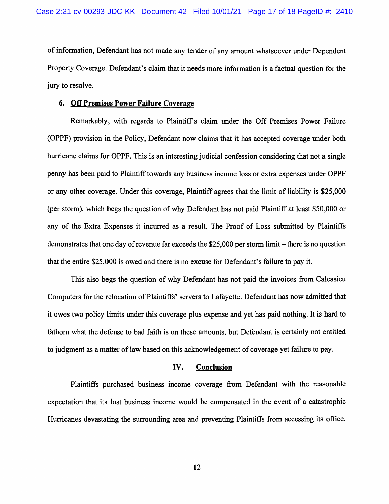of information, Defendant has not made any tender of any amount whatsoever under Dependent Property Coverage. Defendant's claim that it needs more information is a factual question for the jury to resolve.

#### 6. Off Premises Power Failure Coverage

Remarkably, with regards to Plaintifrs claim under the Off Premises Power Failure (OPPF) provision in the Policy, Defendant now claims that it has accepted coverage under both hurricane claims for OPPF. This is an interesting judicial confession considering that not a single penny has been paid to Plaintiff towards any business income loss or extra expenses under OPPF or any other coverage. Under this coverage, Plaintiff agrees that the limit of liability is \$25,000 (per storm), which begs the question of why Defendant has not paid Plaintiff at least \$50,000 or any of the Extra Expenses it incurred as a result. The Proof of Loss submitted by Plaintiffs demonstrates that one day of revenue far exceeds the \$25,000 per storm limit-there is no question that the entire \$25,000 is owed and there is no excuse for Defendant's failure to pay it.

This also begs the question of why Defendant has not paid the invoices from Calcasieu Computers for the relocation of Plaintiffs' servers to Lafayette. Defendant has now admitted that it owes two policy limits under this coverage plus expense and yet has paid nothing. It is hard to fathom what the defense to bad faith is on these amounts, but Defendant is certainly not entitled to judgment as a matter of law based on this acknowledgement of coverage yet failure to pay.

## IV. Conclusion

Plaintiffs purchased business income coverage from Defendant with the reasonable expectation that its lost business income would be compensated in the event of a catastrophic Hurricanes devastating the surrounding area and preventing Plaintiffs from accessing its office.

12